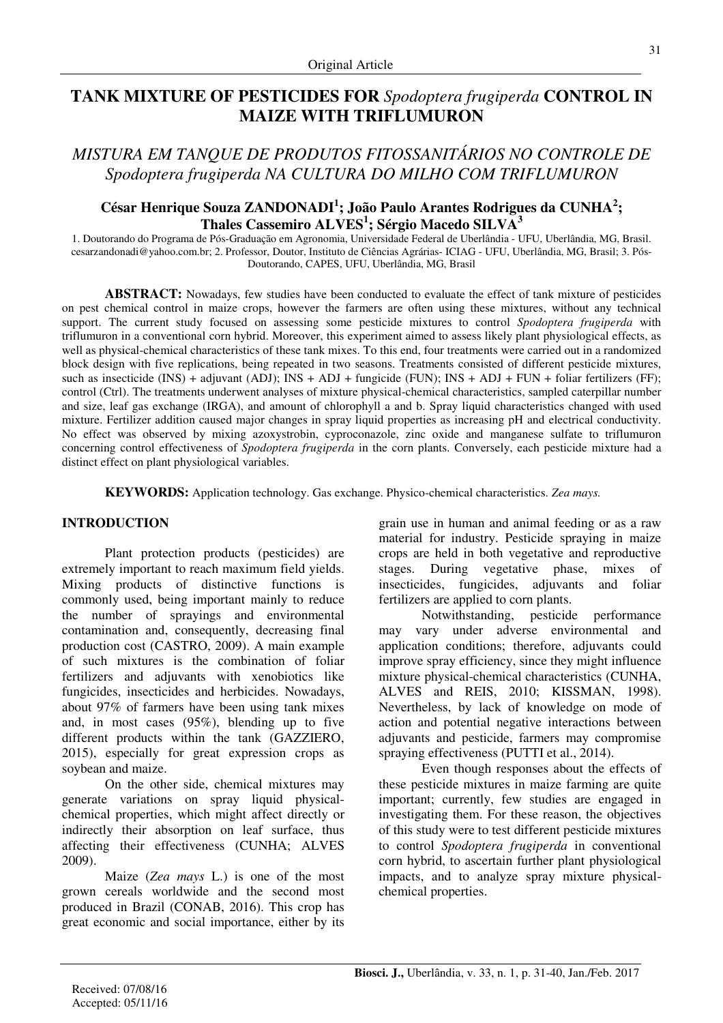# **TANK MIXTURE OF PESTICIDES FOR** *Spodoptera frugiperda* **CONTROL IN MAIZE WITH TRIFLUMURON**

# *MISTURA EM TANQUE DE PRODUTOS FITOSSANITÁRIOS NO CONTROLE DE Spodoptera frugiperda NA CULTURA DO MILHO COM TRIFLUMURON*

## **César Henrique Souza ZANDONADI<sup>1</sup> ; João Paulo Arantes Rodrigues da CUNHA<sup>2</sup> ; Thales Cassemiro ALVES<sup>1</sup> ; Sérgio Macedo SILVA<sup>3</sup>**

1. Doutorando do Programa de Pós-Graduação em Agronomia, Universidade Federal de Uberlândia - UFU, Uberlândia, MG, Brasil. cesarzandonadi@yahoo.com.br; 2. Professor, Doutor, Instituto de Ciências Agrárias- ICIAG - UFU, Uberlândia, MG, Brasil; 3. Pós-Doutorando, CAPES, UFU, Uberlândia, MG, Brasil

**ABSTRACT:** Nowadays, few studies have been conducted to evaluate the effect of tank mixture of pesticides on pest chemical control in maize crops, however the farmers are often using these mixtures, without any technical support. The current study focused on assessing some pesticide mixtures to control *Spodoptera frugiperda* with triflumuron in a conventional corn hybrid. Moreover, this experiment aimed to assess likely plant physiological effects, as well as physical-chemical characteristics of these tank mixes. To this end, four treatments were carried out in a randomized block design with five replications, being repeated in two seasons. Treatments consisted of different pesticide mixtures, such as insecticide (INS) + adjuvant (ADJ); INS + ADJ + fungicide (FUN); INS + ADJ + FUN + foliar fertilizers (FF); control (Ctrl). The treatments underwent analyses of mixture physical-chemical characteristics, sampled caterpillar number and size, leaf gas exchange (IRGA), and amount of chlorophyll a and b. Spray liquid characteristics changed with used mixture. Fertilizer addition caused major changes in spray liquid properties as increasing pH and electrical conductivity. No effect was observed by mixing azoxystrobin, cyproconazole, zinc oxide and manganese sulfate to triflumuron concerning control effectiveness of *Spodoptera frugiperda* in the corn plants. Conversely, each pesticide mixture had a distinct effect on plant physiological variables.

**KEYWORDS:** Application technology. Gas exchange. Physico-chemical characteristics. *Zea mays.* 

## **INTRODUCTION**

Plant protection products (pesticides) are extremely important to reach maximum field yields. Mixing products of distinctive functions is commonly used, being important mainly to reduce the number of sprayings and environmental contamination and, consequently, decreasing final production cost (CASTRO, 2009). A main example of such mixtures is the combination of foliar fertilizers and adjuvants with xenobiotics like fungicides, insecticides and herbicides. Nowadays, about 97% of farmers have been using tank mixes and, in most cases (95%), blending up to five different products within the tank (GAZZIERO, 2015), especially for great expression crops as soybean and maize.

On the other side, chemical mixtures may generate variations on spray liquid physicalchemical properties, which might affect directly or indirectly their absorption on leaf surface, thus affecting their effectiveness (CUNHA; ALVES 2009).

Maize (*Zea mays* L.) is one of the most grown cereals worldwide and the second most produced in Brazil (CONAB, 2016). This crop has great economic and social importance, either by its

grain use in human and animal feeding or as a raw material for industry. Pesticide spraying in maize crops are held in both vegetative and reproductive stages. During vegetative phase, mixes of insecticides, fungicides, adjuvants and foliar fertilizers are applied to corn plants.

Notwithstanding, pesticide performance may vary under adverse environmental and application conditions; therefore, adjuvants could improve spray efficiency, since they might influence mixture physical-chemical characteristics (CUNHA, ALVES and REIS, 2010; KISSMAN, 1998). Nevertheless, by lack of knowledge on mode of action and potential negative interactions between adjuvants and pesticide, farmers may compromise spraying effectiveness (PUTTI et al., 2014).

Even though responses about the effects of these pesticide mixtures in maize farming are quite important; currently, few studies are engaged in investigating them. For these reason, the objectives of this study were to test different pesticide mixtures to control *Spodoptera frugiperda* in conventional corn hybrid, to ascertain further plant physiological impacts, and to analyze spray mixture physicalchemical properties.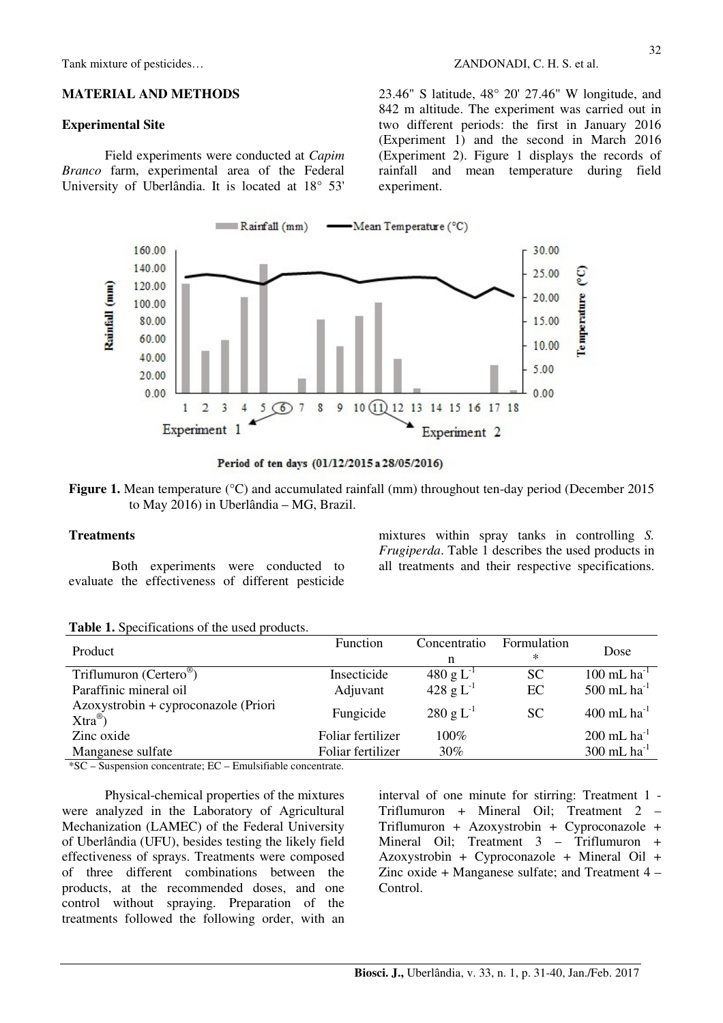Tank mixture of pesticides…  $ZANDONADI$ , C. H. S. et al.

#### **MATERIAL AND METHODS**

#### **Experimental Site**

Field experiments were conducted at *Capim Branco* farm, experimental area of the Federal University of Uberlândia. It is located at 18° 53' 23.46" S latitude, 48° 20' 27.46" W longitude, and 842 m altitude. The experiment was carried out in two different periods: the first in January 2016 (Experiment 1) and the second in March 2016 (Experiment 2). Figure 1 displays the records of rainfall and mean temperature during field experiment.





**Figure 1.** Mean temperature (°C) and accumulated rainfall (mm) throughout ten-day period (December 2015 to May 2016) in Uberlândia – MG, Brazil.

#### **Treatments**

Both experiments were conducted to evaluate the effectiveness of different pesticide

mixtures within spray tanks in controlling *S. Frugiperda*. Table 1 describes the used products in all treatments and their respective specifications.

**Table 1.** Specifications of the used products.

| Product                                                     | Function          | Concentratio<br>n      | Formulation<br>$\ast$ | Dose                      |
|-------------------------------------------------------------|-------------------|------------------------|-----------------------|---------------------------|
| Triflumuron (Certero <sup>®</sup> )                         | Insecticide       | 480 g $L^{-1}$         | SC                    | $100$ mL ha <sup>-1</sup> |
| Paraffinic mineral oil                                      | Adjuvant          | 428 g $L^{-1}$         | EC                    | 500 mL $ha^{-1}$          |
| Azoxystrobin + cyproconazole (Priori<br>$Xtra^{\circledR})$ | Fungicide         | $280 \text{ g L}^{-1}$ | <b>SC</b>             | $400$ mL ha <sup>-1</sup> |
| Zinc oxide                                                  | Foliar fertilizer | $100\%$                |                       | $200$ mL ha <sup>-1</sup> |
| Manganese sulfate                                           | Foliar fertilizer | $30\%$                 |                       | $300$ mL ha <sup>-1</sup> |
| $\cdots$ $\sim$ $\sim$ $\sim$<br>$\mathbf{r}$<br>.          |                   |                        |                       |                           |

\*SC – Suspension concentrate; EC – Emulsifiable concentrate.

Physical-chemical properties of the mixtures were analyzed in the Laboratory of Agricultural Mechanization (LAMEC) of the Federal University of Uberlândia (UFU), besides testing the likely field effectiveness of sprays. Treatments were composed of three different combinations between the products, at the recommended doses, and one control without spraying. Preparation of the treatments followed the following order, with an interval of one minute for stirring: Treatment 1 - Triflumuron + Mineral Oil; Treatment 2 – Triflumuron + Azoxystrobin + Cyproconazole + Mineral Oil; Treatment 3 – Triflumuron + Azoxystrobin + Cyproconazole + Mineral Oil + Zinc oxide + Manganese sulfate; and Treatment 4 – Control.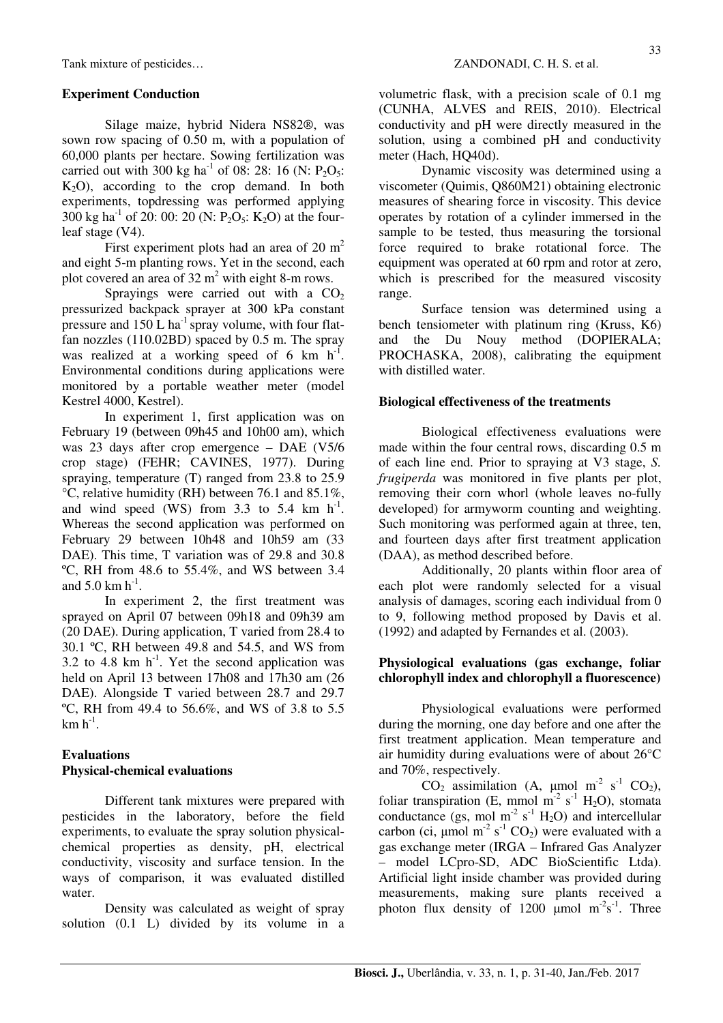## **Experiment Conduction**

Silage maize, hybrid Nidera NS82®, was sown row spacing of 0.50 m, with a population of 60,000 plants per hectare. Sowing fertilization was carried out with 300 kg ha<sup>-1</sup> of 08: 28: 16 (N:  $P_2O_5$ :  $K<sub>2</sub>O$ , according to the crop demand. In both experiments, topdressing was performed applying 300 kg ha<sup>-1</sup> of 20: 00: 20 (N: P<sub>2</sub>O<sub>5</sub>: K<sub>2</sub>O) at the fourleaf stage (V4).

First experiment plots had an area of  $20 \text{ m}^2$ and eight 5-m planting rows. Yet in the second, each plot covered an area of  $32 \text{ m}^2$  with eight 8-m rows.

Sprayings were carried out with a  $CO<sub>2</sub>$ pressurized backpack sprayer at 300 kPa constant pressure and  $150$  L ha<sup>-1</sup> spray volume, with four flatfan nozzles (110.02BD) spaced by 0.5 m. The spray was realized at a working speed of 6 km  $h^{-1}$ . Environmental conditions during applications were monitored by a portable weather meter (model Kestrel 4000, Kestrel).

In experiment 1, first application was on February 19 (between 09h45 and 10h00 am), which was 23 days after crop emergence – DAE (V5/6 crop stage) (FEHR; CAVINES, 1977). During spraying, temperature (T) ranged from 23.8 to 25.9 °C, relative humidity (RH) between 76.1 and 85.1%, and wind speed (WS) from 3.3 to 5.4 km  $h^{-1}$ . Whereas the second application was performed on February 29 between 10h48 and 10h59 am (33 DAE). This time, T variation was of 29.8 and 30.8 ºC, RH from 48.6 to 55.4%, and WS between 3.4 and  $5.0 \text{ km h}^{-1}$ .

In experiment 2, the first treatment was sprayed on April 07 between 09h18 and 09h39 am (20 DAE). During application, T varied from 28.4 to 30.1 ºC, RH between 49.8 and 54.5, and WS from 3.2 to 4.8 km  $h^{-1}$ . Yet the second application was held on April 13 between 17h08 and 17h30 am (26 DAE). Alongside T varied between 28.7 and 29.7 ºC, RH from 49.4 to 56.6%, and WS of 3.8 to 5.5  $\rm km~h^{-1}.$ 

## **Evaluations Physical-chemical evaluations**

Different tank mixtures were prepared with pesticides in the laboratory, before the field experiments, to evaluate the spray solution physicalchemical properties as density, pH, electrical conductivity, viscosity and surface tension. In the ways of comparison, it was evaluated distilled water.

Density was calculated as weight of spray solution (0.1 L) divided by its volume in a volumetric flask, with a precision scale of 0.1 mg (CUNHA, ALVES and REIS, 2010). Electrical conductivity and pH were directly measured in the solution, using a combined pH and conductivity meter (Hach, HQ40d).

Dynamic viscosity was determined using a viscometer (Quimis, Q860M21) obtaining electronic measures of shearing force in viscosity. This device operates by rotation of a cylinder immersed in the sample to be tested, thus measuring the torsional force required to brake rotational force. The equipment was operated at 60 rpm and rotor at zero, which is prescribed for the measured viscosity range.

Surface tension was determined using a bench tensiometer with platinum ring (Kruss, K6) and the Du Nouy method (DOPIERALA; PROCHASKA, 2008), calibrating the equipment with distilled water.

## **Biological effectiveness of the treatments**

Biological effectiveness evaluations were made within the four central rows, discarding 0.5 m of each line end. Prior to spraying at V3 stage, *S. frugiperda* was monitored in five plants per plot, removing their corn whorl (whole leaves no-fully developed) for armyworm counting and weighting. Such monitoring was performed again at three, ten, and fourteen days after first treatment application (DAA), as method described before.

Additionally, 20 plants within floor area of each plot were randomly selected for a visual analysis of damages, scoring each individual from 0 to 9, following method proposed by Davis et al. (1992) and adapted by Fernandes et al. (2003).

## **Physiological evaluations (gas exchange, foliar chlorophyll index and chlorophyll a fluorescence)**

Physiological evaluations were performed during the morning, one day before and one after the first treatment application. Mean temperature and air humidity during evaluations were of about 26°C and 70%, respectively.

 $CO_2$  assimilation (A, µmol m<sup>-2</sup> s<sup>-1</sup> CO<sub>2</sub>), foliar transpiration (E, mmol m<sup>-2</sup> s<sup>-1</sup> H<sub>2</sub>O), stomata conductance (gs, mol m<sup>-2</sup> s<sup>-1</sup> H<sub>2</sub>O) and intercellular carbon (ci,  $\mu$ mol m<sup>-2</sup> s<sup>-1</sup> CO<sub>2</sub>) were evaluated with a gas exchange meter (IRGA – Infrared Gas Analyzer – model LCpro-SD, ADC BioScientific Ltda). Artificial light inside chamber was provided during measurements, making sure plants received a photon flux density of 1200  $\mu$ mol m<sup>-2</sup>s<sup>-1</sup>. Three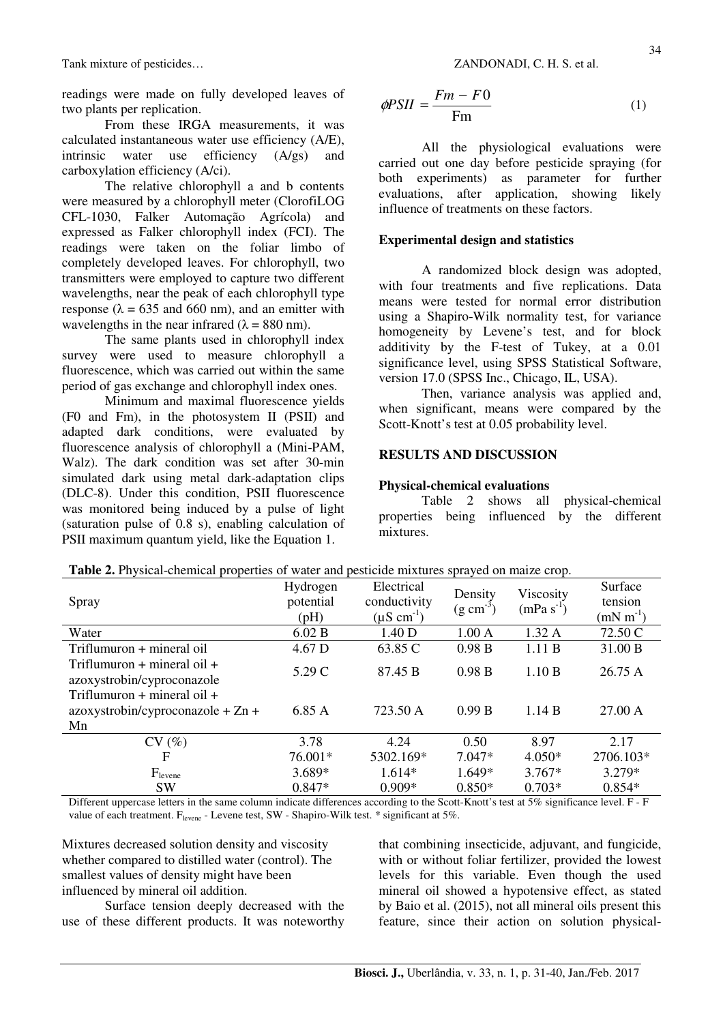readings were made on fully developed leaves of two plants per replication.

From these IRGA measurements, it was calculated instantaneous water use efficiency (A/E), intrinsic water use efficiency (A/gs) and carboxylation efficiency (A/ci).

The relative chlorophyll a and b contents were measured by a chlorophyll meter (ClorofiLOG CFL-1030, Falker Automação Agrícola) and expressed as Falker chlorophyll index (FCI). The readings were taken on the foliar limbo of completely developed leaves. For chlorophyll, two transmitters were employed to capture two different wavelengths, near the peak of each chlorophyll type response ( $\lambda = 635$  and 660 nm), and an emitter with wavelengths in the near infrared ( $\lambda = 880$  nm).

The same plants used in chlorophyll index survey were used to measure chlorophyll a fluorescence, which was carried out within the same period of gas exchange and chlorophyll index ones.

Minimum and maximal fluorescence yields (F0 and Fm), in the photosystem II (PSII) and adapted dark conditions, were evaluated by fluorescence analysis of chlorophyll a (Mini-PAM, Walz). The dark condition was set after 30-min simulated dark using metal dark-adaptation clips (DLC-8). Under this condition, PSII fluorescence was monitored being induced by a pulse of light (saturation pulse of 0.8 s), enabling calculation of PSII maximum quantum yield, like the Equation 1.

$$
\phi PSII = \frac{Fm - F0}{Fm} \tag{1}
$$

All the physiological evaluations were carried out one day before pesticide spraying (for both experiments) as parameter for further evaluations, after application, showing likely influence of treatments on these factors.

## **Experimental design and statistics**

A randomized block design was adopted, with four treatments and five replications. Data means were tested for normal error distribution using a Shapiro-Wilk normality test, for variance homogeneity by Levene's test, and for block additivity by the F-test of Tukey, at a 0.01 significance level, using SPSS Statistical Software, version 17.0 (SPSS Inc., Chicago, IL, USA).

Then, variance analysis was applied and, when significant, means were compared by the Scott-Knott's test at 0.05 probability level.

## **RESULTS AND DISCUSSION**

#### **Physical-chemical evaluations**

Table 2 shows all physical-chemical properties being influenced by the different mixtures.

| Spray                                                                        | Hydrogen<br>potential<br>(pH) | Electrical<br>conductivity<br>$(\mu S \text{ cm}^{-1})$ | Density<br>$(g \text{ cm}^{-3})$ | Viscosity<br>$(mPa s-1)$ | Surface<br>tension<br>$(mN m^{-1})$ |
|------------------------------------------------------------------------------|-------------------------------|---------------------------------------------------------|----------------------------------|--------------------------|-------------------------------------|
| Water                                                                        | 6.02 B                        | 1.40 D                                                  | 1.00A                            | 1.32A                    | 72.50 C                             |
| Triflumuron + mineral oil                                                    | 4.67 D                        | 63.85 C                                                 | 0.98 B                           | 1.11B                    | 31.00 B                             |
| Triflumuron $+$ mineral oil $+$<br>azoxystrobin/cyproconazole                | 5.29 C                        | 87.45 B                                                 | 0.98 B                           | 1.10 B                   | 26.75A                              |
| Triflumuron $+$ mineral oil $+$<br>$azoxystrobin/cyproconazole + Zn +$<br>Mn | 6.85 A                        | 723.50 A                                                | 0.99 B                           | 1.14 B                   | 27.00 A                             |
| CV(%)                                                                        | 3.78                          | 4.24                                                    | 0.50                             | 8.97                     | 2.17                                |
| F                                                                            | 76.001*                       | 5302.169*                                               | $7.047*$                         | $4.050*$                 | 2706.103*                           |
| $F_{\text{levene}}$                                                          | 3.689*                        | $1.614*$                                                | 1.649*                           | $3.767*$                 | $3.279*$                            |
| <b>SW</b>                                                                    | $0.847*$                      | $0.909*$                                                | $0.850*$                         | $0.703*$                 | $0.854*$                            |

**Table 2.** Physical-chemical properties of water and pesticide mixtures sprayed on maize crop.

Different uppercase letters in the same column indicate differences according to the Scott-Knott's test at 5% significance level. F - F value of each treatment. F<sub>levene</sub> - Levene test, SW - Shapiro-Wilk test. \* significant at 5%.

Mixtures decreased solution density and viscosity whether compared to distilled water (control). The smallest values of density might have been influenced by mineral oil addition.

Surface tension deeply decreased with the use of these different products. It was noteworthy that combining insecticide, adjuvant, and fungicide, with or without foliar fertilizer, provided the lowest levels for this variable. Even though the used mineral oil showed a hypotensive effect, as stated by Baio et al. (2015), not all mineral oils present this feature, since their action on solution physical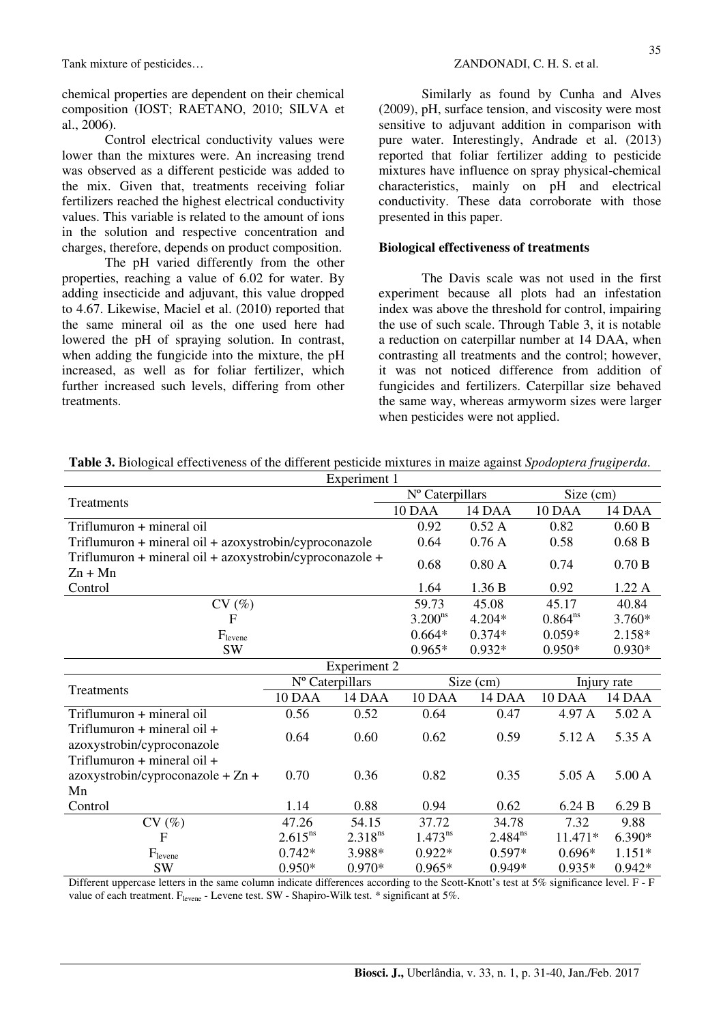chemical properties are dependent on their chemical composition (IOST; RAETANO, 2010; SILVA et al., 2006).

Control electrical conductivity values were lower than the mixtures were. An increasing trend was observed as a different pesticide was added to the mix. Given that, treatments receiving foliar fertilizers reached the highest electrical conductivity values. This variable is related to the amount of ions in the solution and respective concentration and charges, therefore, depends on product composition.

The pH varied differently from the other properties, reaching a value of 6.02 for water. By adding insecticide and adjuvant, this value dropped to 4.67. Likewise, Maciel et al. (2010) reported that the same mineral oil as the one used here had lowered the pH of spraying solution. In contrast, when adding the fungicide into the mixture, the pH increased, as well as for foliar fertilizer, which further increased such levels, differing from other treatments.

Similarly as found by Cunha and Alves (2009), pH, surface tension, and viscosity were most sensitive to adjuvant addition in comparison with pure water. Interestingly, Andrade et al. (2013) reported that foliar fertilizer adding to pesticide mixtures have influence on spray physical-chemical characteristics, mainly on pH and electrical conductivity. These data corroborate with those presented in this paper.

#### **Biological effectiveness of treatments**

The Davis scale was not used in the first experiment because all plots had an infestation index was above the threshold for control, impairing the use of such scale. Through Table 3, it is notable a reduction on caterpillar number at 14 DAA, when contrasting all treatments and the control; however, it was not noticed difference from addition of fungicides and fertilizers. Caterpillar size behaved the same way, whereas armyworm sizes were larger when pesticides were not applied.

|                                                                      |                 | Nº Caterpillars     |              | Size (cm)    |              |          |
|----------------------------------------------------------------------|-----------------|---------------------|--------------|--------------|--------------|----------|
| Treatments                                                           |                 |                     | 10 DAA       | 14 DAA       | 10 DAA       | 14 DAA   |
| Triflumuron + mineral oil                                            |                 |                     | 0.92         | 0.52A        | 0.82         | 0.60 B   |
| Triflumuron + mineral oil + azoxystrobin/cyproconazole               |                 |                     | 0.64         | 0.76A        | 0.58         | 0.68 B   |
| Triflumuron + mineral oil + azoxystrobin/cyproconazole +             |                 |                     | 0.68         | 0.80A        | 0.74         | 0.70 B   |
| $Zn + Mn$                                                            |                 |                     |              |              |              |          |
| Control                                                              |                 |                     | 1.64         | 1.36 B       | 0.92         | 1.22 A   |
| CV(%)                                                                |                 |                     | 59.73        | 45.08        | 45.17        | 40.84    |
| $\overline{F}$                                                       |                 |                     | $3.200^{ns}$ | $4.204*$     | $0.864^{ns}$ | $3.760*$ |
| $F_{\rm levene}$                                                     |                 |                     | $0.664*$     | $0.374*$     | $0.059*$     | 2.158*   |
| <b>SW</b>                                                            |                 |                     | $0.965*$     | $0.932*$     | $0.950*$     | $0.930*$ |
|                                                                      |                 | <b>Experiment 2</b> |              |              |              |          |
| Treatments                                                           | Nº Caterpillars |                     | Size (cm)    |              | Injury rate  |          |
|                                                                      | 10 DAA          | 14 DAA              | 10 DAA       | 14 DAA       | 10 DAA       | 14 DAA   |
| Triflumuron + mineral oil                                            | 0.56            | 0.52                | 0.64         | 0.47         | 4.97 A       | 5.02 A   |
| Triflumuron $+$ mineral oil $+$<br>azoxystrobin/cyproconazole        | 0.64            | 0.60                | 0.62         | 0.59         | 5.12 A       | 5.35 A   |
| Triflumuron $+$ mineral oil $+$<br>azoxystrobin/cyproconazole + Zn + | 0.70            | 0.36                | 0.82         | 0.35         | 5.05 A       | 5.00 A   |
| Mn                                                                   |                 |                     |              |              |              |          |
| Control                                                              | 1.14            | 0.88                | 0.94         | 0.62         | 6.24 B       | 6.29 B   |
| CV(%)                                                                | 47.26           | 54.15               | 37.72        | 34.78        | 7.32         | 9.88     |
| $\mathbf{F}$                                                         | $2.615^{ns}$    | $2.318^{ns}$        | $1.473^{ns}$ | $2.484^{ns}$ | 11.471*      | $6.390*$ |
| $F_{\text{levene}}$                                                  | $0.742*$        | 3.988*              | $0.922*$     | $0.597*$     | $0.696*$     | $1.151*$ |
| <b>SW</b>                                                            | $0.950*$        | $0.970*$            | $0.965*$     | 0.949*       | $0.935*$     | $0.942*$ |

**Table 3.** Biological effectiveness of the different pesticide mixtures in maize against *Spodoptera frugiperda*. Experiment 1

Different uppercase letters in the same column indicate differences according to the Scott-Knott's test at 5% significance level. F - F value of each treatment. F<sub>levene</sub> - Levene test. SW - Shapiro-Wilk test. \* significant at 5%.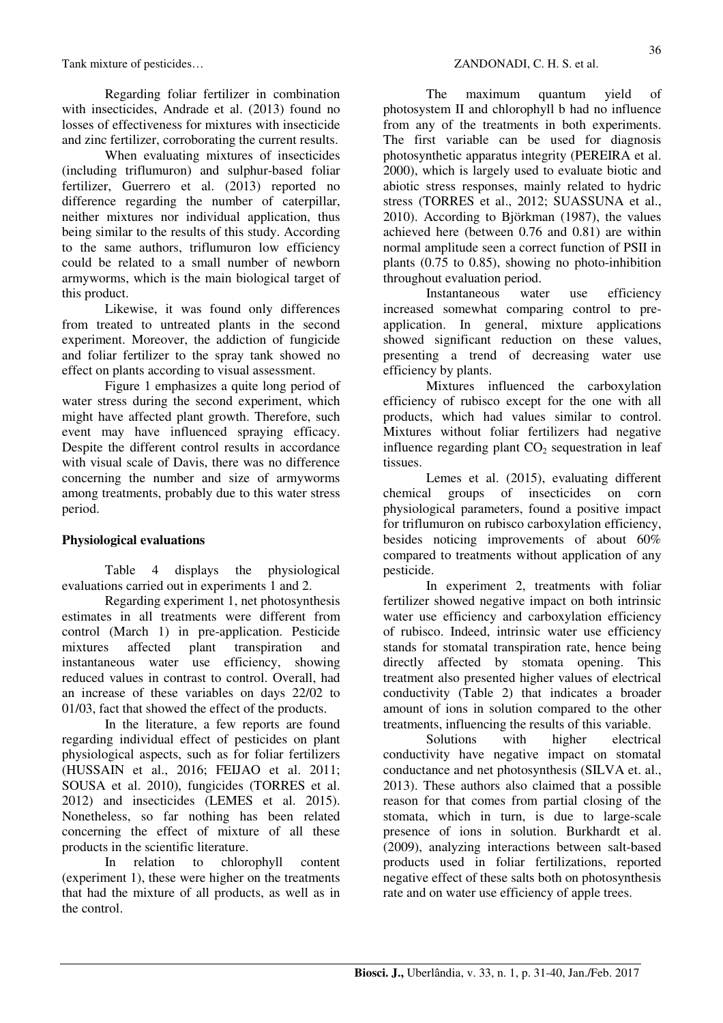Regarding foliar fertilizer in combination with insecticides, Andrade et al. (2013) found no losses of effectiveness for mixtures with insecticide and zinc fertilizer, corroborating the current results.

When evaluating mixtures of insecticides (including triflumuron) and sulphur-based foliar fertilizer, Guerrero et al. (2013) reported no difference regarding the number of caterpillar, neither mixtures nor individual application, thus being similar to the results of this study. According to the same authors, triflumuron low efficiency could be related to a small number of newborn armyworms, which is the main biological target of this product.

Likewise, it was found only differences from treated to untreated plants in the second experiment. Moreover, the addiction of fungicide and foliar fertilizer to the spray tank showed no effect on plants according to visual assessment.

Figure 1 emphasizes a quite long period of water stress during the second experiment, which might have affected plant growth. Therefore, such event may have influenced spraying efficacy. Despite the different control results in accordance with visual scale of Davis, there was no difference concerning the number and size of armyworms among treatments, probably due to this water stress period.

## **Physiological evaluations**

Table 4 displays the physiological evaluations carried out in experiments 1 and 2.

Regarding experiment 1, net photosynthesis estimates in all treatments were different from control (March 1) in pre-application. Pesticide mixtures affected plant transpiration and instantaneous water use efficiency, showing reduced values in contrast to control. Overall, had an increase of these variables on days 22/02 to 01/03, fact that showed the effect of the products.

In the literature, a few reports are found regarding individual effect of pesticides on plant physiological aspects, such as for foliar fertilizers (HUSSAIN et al., 2016; FEIJAO et al. 2011; SOUSA et al. 2010), fungicides (TORRES et al. 2012) and insecticides (LEMES et al. 2015). Nonetheless, so far nothing has been related concerning the effect of mixture of all these products in the scientific literature.

In relation to chlorophyll content (experiment 1), these were higher on the treatments that had the mixture of all products, as well as in the control.

The maximum quantum yield of photosystem II and chlorophyll b had no influence from any of the treatments in both experiments. The first variable can be used for diagnosis photosynthetic apparatus integrity (PEREIRA et al. 2000), which is largely used to evaluate biotic and abiotic stress responses, mainly related to hydric stress (TORRES et al., 2012; SUASSUNA et al., 2010). According to Björkman (1987), the values achieved here (between 0.76 and 0.81) are within normal amplitude seen a correct function of PSII in plants (0.75 to 0.85), showing no photo-inhibition throughout evaluation period.

Instantaneous water use efficiency increased somewhat comparing control to preapplication. In general, mixture applications showed significant reduction on these values, presenting a trend of decreasing water use efficiency by plants.

Mixtures influenced the carboxylation efficiency of rubisco except for the one with all products, which had values similar to control. Mixtures without foliar fertilizers had negative influence regarding plant  $CO<sub>2</sub>$  sequestration in leaf tissues.

Lemes et al. (2015), evaluating different chemical groups of insecticides on corn physiological parameters, found a positive impact for triflumuron on rubisco carboxylation efficiency, besides noticing improvements of about 60% compared to treatments without application of any pesticide.

In experiment 2, treatments with foliar fertilizer showed negative impact on both intrinsic water use efficiency and carboxylation efficiency of rubisco. Indeed, intrinsic water use efficiency stands for stomatal transpiration rate, hence being directly affected by stomata opening. This treatment also presented higher values of electrical conductivity (Table 2) that indicates a broader amount of ions in solution compared to the other treatments, influencing the results of this variable.

Solutions with higher electrical conductivity have negative impact on stomatal conductance and net photosynthesis (SILVA et. al., 2013). These authors also claimed that a possible reason for that comes from partial closing of the stomata, which in turn, is due to large-scale presence of ions in solution. Burkhardt et al. (2009), analyzing interactions between salt-based products used in foliar fertilizations, reported negative effect of these salts both on photosynthesis rate and on water use efficiency of apple trees.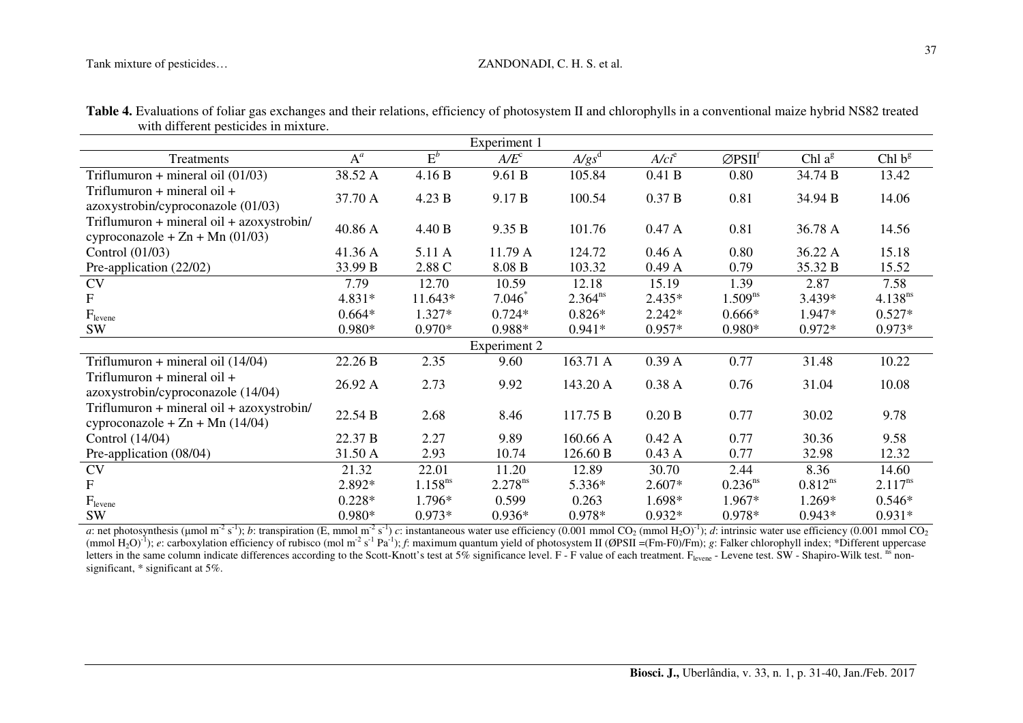#### Tank mixture of pesticides…  $ZANDONADI$ , C. H. S. et al.

|                                                                                |                  |              | Experiment 1      |              |          |                                 |              |                    |
|--------------------------------------------------------------------------------|------------------|--------------|-------------------|--------------|----------|---------------------------------|--------------|--------------------|
| Treatments                                                                     | $\overline{A}^a$ | $E^b$        | A/E <sup>c</sup>  | $A/gs^d$     | $A/ci^e$ | $\varnothing$ PSII <sup>f</sup> | Chl $a^g$    | Chl b <sup>g</sup> |
| Triflumuron + mineral oil $(01/03)$                                            | 38.52 A          | 4.16 B       | 9.61 B            | 105.84       | 0.41 B   | 0.80                            | 34.74 B      | 13.42              |
| Triflumuron $+$ mineral oil $+$<br>azoxystrobin/cyproconazole (01/03)          | 37.70 A          | 4.23 B       | 9.17 <sub>B</sub> | 100.54       | 0.37 B   | 0.81                            | 34.94 B      | 14.06              |
| Triflumuron + mineral oil + azoxystrobin/<br>cyproconazole + $Zn$ + Mn (01/03) | 40.86 A          | 4.40 B       | 9.35 B            | 101.76       | 0.47A    | 0.81                            | 36.78 A      | 14.56              |
| Control $(01/03)$                                                              | 41.36 A          | 5.11 A       | 11.79 A           | 124.72       | 0.46A    | 0.80                            | 36.22 A      | 15.18              |
| Pre-application (22/02)                                                        | 33.99 B          | 2.88 C       | 8.08 B            | 103.32       | 0.49A    | 0.79                            | 35.32 B      | 15.52              |
| <b>CV</b>                                                                      | 7.79             | 12.70        | 10.59             | 12.18        | 15.19    | 1.39                            | 2.87         | 7.58               |
| $\mathbf{F}$                                                                   | 4.831*           | 11.643*      | $7.046*$          | $2.364^{ns}$ | $2.435*$ | $1.509^{ns}$                    | 3.439*       | $4.138^{ns}$       |
| $F_{levene}$                                                                   | $0.664*$         | $1.327*$     | $0.724*$          | $0.826*$     | $2.242*$ | $0.666*$                        | 1.947*       | $0.527*$           |
| SW                                                                             | $0.980*$         | $0.970*$     | 0.988*            | $0.941*$     | $0.957*$ | $0.980*$                        | $0.972*$     | $0.973*$           |
| <b>Experiment 2</b>                                                            |                  |              |                   |              |          |                                 |              |                    |
| Triflumuron + mineral oil $(14/04)$                                            | 22.26 B          | 2.35         | 9.60              | 163.71 A     | 0.39A    | 0.77                            | 31.48        | 10.22              |
| Triflumuron + mineral oil +<br>azoxystrobin/cyproconazole (14/04)              | 26.92 A          | 2.73         | 9.92              | 143.20 A     | 0.38A    | 0.76                            | 31.04        | 10.08              |
| Triflumuron + mineral oil + azoxystrobin/<br>cyproconazole + $Zn$ + Mn (14/04) | 22.54 B          | 2.68         | 8.46              | 117.75 B     | 0.20 B   | 0.77                            | 30.02        | 9.78               |
| Control (14/04)                                                                | 22.37 B          | 2.27         | 9.89              | 160.66 A     | 0.42A    | 0.77                            | 30.36        | 9.58               |
| Pre-application (08/04)                                                        | 31.50 A          | 2.93         | 10.74             | 126.60 B     | 0.43A    | 0.77                            | 32.98        | 12.32              |
| <b>CV</b>                                                                      | 21.32            | 22.01        | 11.20             | 12.89        | 30.70    | 2.44                            | 8.36         | 14.60              |
| $\mathbf F$                                                                    | 2.892*           | $1.158^{ns}$ | $2.278^{ns}$      | 5.336*       | 2.607*   | $0.236^{ns}$                    | $0.812^{ns}$ | $2.117^{ns}$       |
| F <sub>levene</sub>                                                            | $0.228*$         | 1.796*       | 0.599             | 0.263        | 1.698*   | 1.967*                          | 1.269*       | $0.546*$           |
| <b>SW</b>                                                                      | $0.980*$         | $0.973*$     | $0.936*$          | 0.978*       | $0.932*$ | 0.978*                          | $0.943*$     | $0.931*$           |

Table 4. Evaluations of foliar gas exchanges and their relations, efficiency of photosystem II and chlorophylls in a conventional maize hybrid NS82 treated with different pesticides in mixture.

a: net photosynthesis (µmol m<sup>-2</sup> s<sup>-1</sup>); *b*: transpiration (E, mmol m<sup>-2</sup> s<sup>-1</sup>) c: instantaneous water use efficiency (0.001 mmol CO<sub>2</sub> (mmol H<sub>2</sub>O)<sup>-1</sup>); *d*: intrinsic water use efficiency (0.001 mmol CO<sub>2</sub> (mmol H<sub>2</sub> letters in the same column indicate differences according to the Scott-Knott's test at 5% significance level. F - F value of each treatment.  $F_{\text{levene}}$  - Levene test. SW - Shapiro-Wilk test. ns nonsignificant,  $*$  significant at 5%.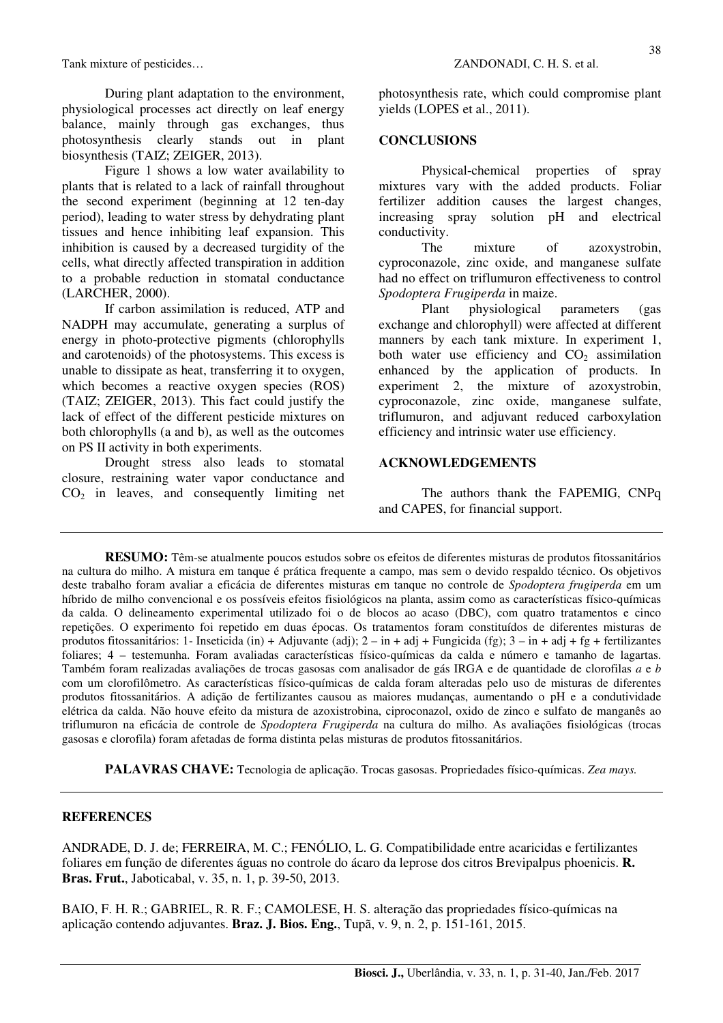During plant adaptation to the environment, physiological processes act directly on leaf energy balance, mainly through gas exchanges, thus photosynthesis clearly stands out in plant biosynthesis (TAIZ; ZEIGER, 2013).

Figure 1 shows a low water availability to plants that is related to a lack of rainfall throughout the second experiment (beginning at 12 ten-day period), leading to water stress by dehydrating plant tissues and hence inhibiting leaf expansion. This inhibition is caused by a decreased turgidity of the cells, what directly affected transpiration in addition to a probable reduction in stomatal conductance (LARCHER, 2000).

If carbon assimilation is reduced, ATP and NADPH may accumulate, generating a surplus of energy in photo-protective pigments (chlorophylls and carotenoids) of the photosystems. This excess is unable to dissipate as heat, transferring it to oxygen, which becomes a reactive oxygen species (ROS) (TAIZ; ZEIGER, 2013). This fact could justify the lack of effect of the different pesticide mixtures on both chlorophylls (a and b), as well as the outcomes on PS II activity in both experiments.

Drought stress also leads to stomatal closure, restraining water vapor conductance and  $CO<sub>2</sub>$  in leaves, and consequently limiting net photosynthesis rate, which could compromise plant yields (LOPES et al., 2011).

#### **CONCLUSIONS**

Physical-chemical properties of spray mixtures vary with the added products. Foliar fertilizer addition causes the largest changes, increasing spray solution pH and electrical conductivity.

The mixture of azoxystrobin, cyproconazole, zinc oxide, and manganese sulfate had no effect on triflumuron effectiveness to control *Spodoptera Frugiperda* in maize.

Plant physiological parameters (gas exchange and chlorophyll) were affected at different manners by each tank mixture. In experiment 1, both water use efficiency and  $CO<sub>2</sub>$  assimilation enhanced by the application of products. In experiment 2, the mixture of azoxystrobin, cyproconazole, zinc oxide, manganese sulfate, triflumuron, and adjuvant reduced carboxylation efficiency and intrinsic water use efficiency.

#### **ACKNOWLEDGEMENTS**

The authors thank the FAPEMIG, CNPq and CAPES, for financial support.

**RESUMO:** Têm-se atualmente poucos estudos sobre os efeitos de diferentes misturas de produtos fitossanitários na cultura do milho. A mistura em tanque é prática frequente a campo, mas sem o devido respaldo técnico. Os objetivos deste trabalho foram avaliar a eficácia de diferentes misturas em tanque no controle de *Spodoptera frugiperda* em um híbrido de milho convencional e os possíveis efeitos fisiológicos na planta, assim como as características físico-químicas da calda. O delineamento experimental utilizado foi o de blocos ao acaso (DBC), com quatro tratamentos e cinco repetições. O experimento foi repetido em duas épocas. Os tratamentos foram constituídos de diferentes misturas de produtos fitossanitários: 1- Inseticida (in) + Adjuvante (adj); 2 – in + adj + Fungicida (fg); 3 – in + adj + fg + fertilizantes foliares; 4 – testemunha. Foram avaliadas características físico-químicas da calda e número e tamanho de lagartas. Também foram realizadas avaliações de trocas gasosas com analisador de gás IRGA e de quantidade de clorofilas *a* e *b* com um clorofilômetro. As características físico-químicas de calda foram alteradas pelo uso de misturas de diferentes produtos fitossanitários. A adição de fertilizantes causou as maiores mudanças, aumentando o pH e a condutividade elétrica da calda. Não houve efeito da mistura de azoxistrobina, ciproconazol, oxido de zinco e sulfato de manganês ao triflumuron na eficácia de controle de *Spodoptera Frugiperda* na cultura do milho. As avaliações fisiológicas (trocas gasosas e clorofila) foram afetadas de forma distinta pelas misturas de produtos fitossanitários.

**PALAVRAS CHAVE:** Tecnologia de aplicação. Trocas gasosas. Propriedades físico-químicas. *Zea mays.*

#### **REFERENCES**

ANDRADE, D. J. de; FERREIRA, M. C.; FENÓLIO, L. G. Compatibilidade entre acaricidas e fertilizantes foliares em função de diferentes águas no controle do ácaro da leprose dos citros Brevipalpus phoenicis. **R. Bras. Frut.**, Jaboticabal, v. 35, n. 1, p. 39-50, 2013.

BAIO, F. H. R.; GABRIEL, R. R. F.; CAMOLESE, H. S. alteração das propriedades físico-químicas na aplicação contendo adjuvantes. **Braz. J. Bios. Eng.**, Tupã, v. 9, n. 2, p. 151-161, 2015.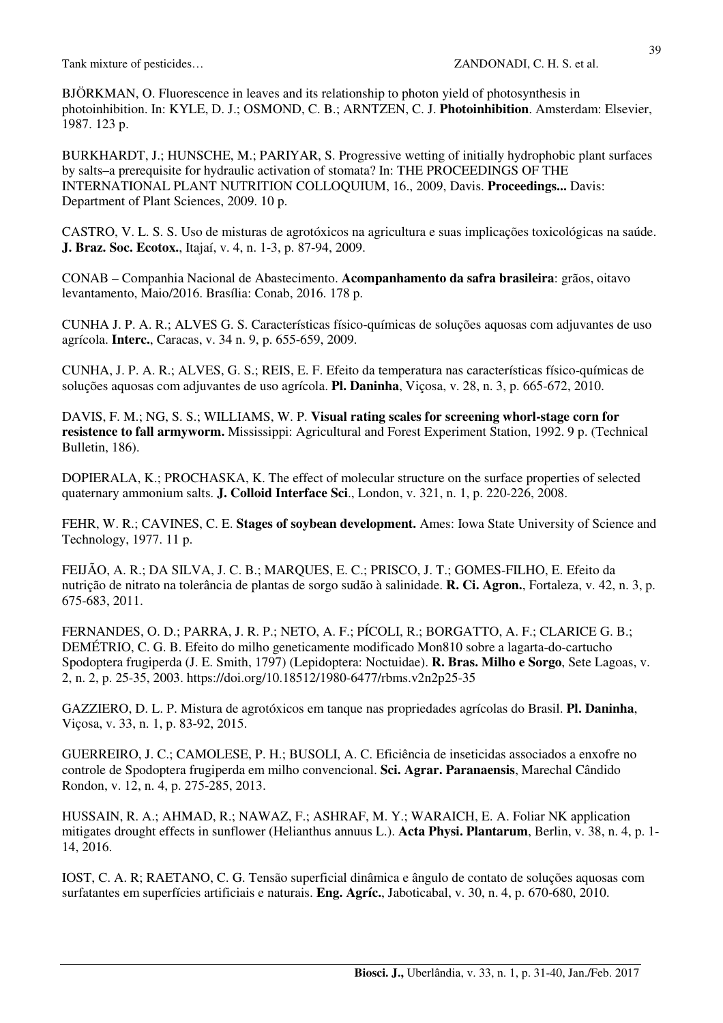BJÖRKMAN, O. Fluorescence in leaves and its relationship to photon yield of photosynthesis in photoinhibition. In: KYLE, D. J.; OSMOND, C. B.; ARNTZEN, C. J. **Photoinhibition**. Amsterdam: Elsevier, 1987. 123 p.

BURKHARDT, J.; HUNSCHE, M.; PARIYAR, S. Progressive wetting of initially hydrophobic plant surfaces by salts–a prerequisite for hydraulic activation of stomata? In: THE PROCEEDINGS OF THE INTERNATIONAL PLANT NUTRITION COLLOQUIUM, 16., 2009, Davis. **Proceedings...** Davis: Department of Plant Sciences, 2009. 10 p.

CASTRO, V. L. S. S. Uso de misturas de agrotóxicos na agricultura e suas implicações toxicológicas na saúde. **J. Braz. Soc. Ecotox.**, Itajaí, v. 4, n. 1-3, p. 87-94, 2009.

CONAB – Companhia Nacional de Abastecimento. **Acompanhamento da safra brasileira**: grãos, oitavo levantamento, Maio/2016. Brasília: Conab, 2016. 178 p.

CUNHA J. P. A. R.; ALVES G. S. Características físico-químicas de soluções aquosas com adjuvantes de uso agrícola. **Interc.**, Caracas, v. 34 n. 9, p. 655-659, 2009.

CUNHA, J. P. A. R.; ALVES, G. S.; REIS, E. F. Efeito da temperatura nas características físico-químicas de soluções aquosas com adjuvantes de uso agrícola. **Pl. Daninha**, Viçosa, v. 28, n. 3, p. 665-672, 2010.

DAVIS, F. M.; NG, S. S.; WILLIAMS, W. P. **Visual rating scales for screening whorl-stage corn for resistence to fall armyworm.** Mississippi: Agricultural and Forest Experiment Station, 1992. 9 p. (Technical Bulletin, 186).

DOPIERALA, K.; PROCHASKA, K. The effect of molecular structure on the surface properties of selected quaternary ammonium salts. **J. Colloid Interface Sci**., London, v. 321, n. 1, p. 220-226, 2008.

FEHR, W. R.; CAVINES, C. E. **Stages of soybean development.** Ames: Iowa State University of Science and Technology, 1977. 11 p.

FEIJÃO, A. R.; DA SILVA, J. C. B.; MARQUES, E. C.; PRISCO, J. T.; GOMES-FILHO, E. Efeito da nutrição de nitrato na tolerância de plantas de sorgo sudão à salinidade. **R. Ci. Agron.**, Fortaleza, v. 42, n. 3, p. 675-683, 2011.

FERNANDES, O. D.; PARRA, J. R. P.; NETO, A. F.; PÍCOLI, R.; BORGATTO, A. F.; CLARICE G. B.; DEMÉTRIO, C. G. B. Efeito do milho geneticamente modificado Mon810 sobre a lagarta-do-cartucho Spodoptera frugiperda (J. E. Smith, 1797) (Lepidoptera: Noctuidae). **R. Bras. Milho e Sorgo**, Sete Lagoas, v. 2, n. 2, p. 25-35, 2003. https://doi.org/10.18512/1980-6477/rbms.v2n2p25-35

GAZZIERO, D. L. P. Mistura de agrotóxicos em tanque nas propriedades agrícolas do Brasil. **Pl. Daninha**, Viçosa, v. 33, n. 1, p. 83-92, 2015.

GUERREIRO, J. C.; CAMOLESE, P. H.; BUSOLI, A. C. Eficiência de inseticidas associados a enxofre no controle de Spodoptera frugiperda em milho convencional. **Sci. Agrar. Paranaensis**, Marechal Cândido Rondon, v. 12, n. 4, p. 275-285, 2013.

HUSSAIN, R. A.; AHMAD, R.; NAWAZ, F.; ASHRAF, M. Y.; WARAICH, E. A. Foliar NK application mitigates drought effects in sunflower (Helianthus annuus L.). **Acta Physi. Plantarum**, Berlin, v. 38, n. 4, p. 1- 14, 2016.

IOST, C. A. R; RAETANO, C. G. Tensão superficial dinâmica e ângulo de contato de soluções aquosas com surfatantes em superfícies artificiais e naturais. **Eng. Agríc.**, Jaboticabal, v. 30, n. 4, p. 670-680, 2010.